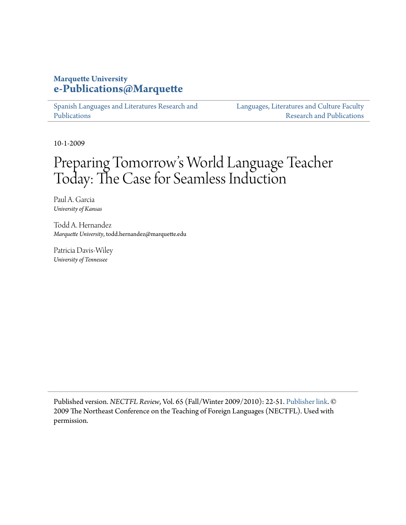# **Marquette University [e-Publications@Marquette](https://epublications.marquette.edu)**

[Spanish Languages and Literatures Research and](https://epublications.marquette.edu/span_fac) [Publications](https://epublications.marquette.edu/span_fac)

[Languages, Literatures and Culture Faculty](https://epublications.marquette.edu/fola_fac) [Research and Publications](https://epublications.marquette.edu/fola_fac)

10-1-2009

# Preparing Tomorrow 's World Language Teacher Today: The Case for Seamless Induction

Paul A. Garcia *University of Kansas*

Todd A. Hernandez *Marquette University*, todd.hernandez@marquette.edu

Patricia Davis-Wiley *University of Tennessee*

Published version. *NECTFL Review*, Vol. 65 (Fall/Winter 2009/2010): 22-51. [Publisher link.](http://www.nectfl.org/nectfl-review/) © 2009 The Northeast Conference on the Teaching of Foreign Languages (NECTFL). Used with permission.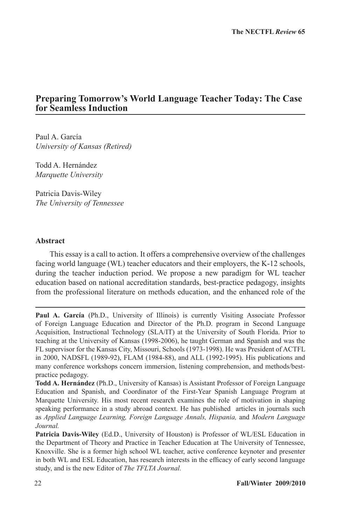# **Preparing Tomorrow's World Language Teacher Today: The Case for Seamless Induction**

Paul A. García *University of Kansas (Retired)*

Todd A. Hernández *Marquette University*

Patricia Davis-Wiley *The University of Tennessee*

#### **Abstract**

This essay is a call to action. It offers a comprehensive overview of the challenges facing world language (WL) teacher educators and their employers, the K-12 schools, during the teacher induction period. We propose a new paradigm for WL teacher education based on national accreditation standards, best-practice pedagogy, insights from the professional literature on methods education, and the enhanced role of the

**Paul A. García** (Ph.D., University of Illinois) is currently Visiting Associate Professor of Foreign Language Education and Director of the Ph.D. program in Second Language Acquisition, Instructional Technology (SLA/IT) at the University of South Florida. Prior to teaching at the University of Kansas (1998-2006), he taught German and Spanish and was the FL supervisor for the Kansas City, Missouri, Schools (1973-1998). He was President of ACTFL in 2000, NADSFL (1989-92), FLAM (1984-88), and ALL (1992-1995). His publications and many conference workshops concern immersion, listening comprehension, and methods/bestpractice pedagogy.

**Todd A. Hernández** (Ph.D., University of Kansas) is Assistant Professor of Foreign Language Education and Spanish, and Coordinator of the First-Year Spanish Language Program at Marquette University. His most recent research examines the role of motivation in shaping speaking performance in a study abroad context. He has published articles in journals such as *Applied Language Learning, Foreign Language Annals, Hispania,* and *Modern Language Journal.*

**Patricia Davis-Wiley** (Ed.D., University of Houston) is Professor of WL/ESL Education in the Department of Theory and Practice in Teacher Education at The University of Tennessee, Knoxville. She is a former high school WL teacher, active conference keynoter and presenter in both WL and ESL Education, has research interests in the efficacy of early second language study, and is the new Editor of *The TFLTA Journal.*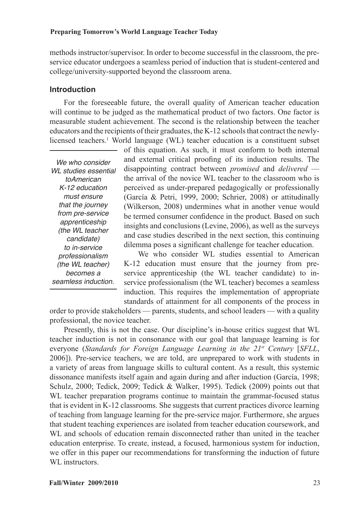methods instructor/supervisor. In order to become successful in the classroom, the preservice educator undergoes a seamless period of induction that is student-centered and college/university-supported beyond the classroom arena.

#### **Introduction**

For the foreseeable future, the overall quality of American teacher education will continue to be judged as the mathematical product of two factors. One factor is measurable student achievement. The second is the relationship between the teacher educators and the recipients of their graduates, the K-12 schools that contract the newlylicensed teachers.<sup>1</sup> World language (WL) teacher education is a constituent subset

*We who consider WL studies essential toAmerican K-12 education must ensure that the journey from pre-service apprenticeship (the WL teacher candidate) to in-service professionalism (the WL teacher) becomes a seamless induction.*

of this equation. As such, it must conform to both internal and external critical proofing of its induction results. The disappointing contract between *promised* and *delivered* the arrival of the novice WL teacher to the classroom who is perceived as under-prepared pedagogically or professionally (García & Petri, 1999, 2000; Schrier, 2008) or attitudinally (Wilkerson, 2008) undermines what in another venue would be termed consumer confidence in the product. Based on such insights and conclusions (Levine, 2006), as well as the surveys and case studies described in the next section, this continuing dilemma poses a significant challenge for teacher education.

We who consider WL studies essential to American K-12 education must ensure that the journey from preservice apprenticeship (the WL teacher candidate) to inservice professionalism (the WL teacher) becomes a seamless induction. This requires the implementation of appropriate standards of attainment for all components of the process in

order to provide stakeholders — parents, students, and school leaders — with a quality professional, the novice teacher.

Presently, this is not the case. Our discipline's in-house critics suggest that WL teacher induction is not in consonance with our goal that language learning is for everyone (*Standards for Foreign Language Learning in the 21st Century* [*SFLL*, 2006]). Pre-service teachers, we are told, are unprepared to work with students in a variety of areas from language skills to cultural content. As a result, this systemic dissonance manifests itself again and again during and after induction (García, 1998; Schulz, 2000; Tedick, 2009; Tedick & Walker, 1995). Tedick (2009) points out that WL teacher preparation programs continue to maintain the grammar-focused status that is evident in K-12 classrooms. She suggests that current practices divorce learning of teaching from language learning for the pre-service major. Furthermore, she argues that student teaching experiences are isolated from teacher education coursework, and WL and schools of education remain disconnected rather than united in the teacher education enterprise. To create, instead, a focused, harmonious system for induction, we offer in this paper our recommendations for transforming the induction of future WL instructors.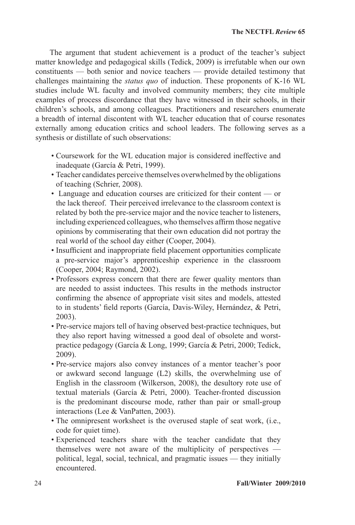The argument that student achievement is a product of the teacher's subject matter knowledge and pedagogical skills (Tedick, 2009) is irrefutable when our own constituents — both senior and novice teachers — provide detailed testimony that challenges maintaining the *status quo* of induction. These proponents of K-16 WL studies include WL faculty and involved community members; they cite multiple examples of process discordance that they have witnessed in their schools, in their children's schools, and among colleagues. Practitioners and researchers enumerate a breadth of internal discontent with WL teacher education that of course resonates externally among education critics and school leaders. The following serves as a synthesis or distillate of such observations:

- Coursework for the WL education major is considered ineffective and inadequate (García & Petri, 1999).
- Teacher candidates perceive themselves overwhelmed by the obligations of teaching (Schrier, 2008).
- Language and education courses are criticized for their content or the lack thereof. Their perceived irrelevance to the classroom context is related by both the pre-service major and the novice teacher to listeners, including experienced colleagues, who themselves affirm those negative opinions by commiserating that their own education did not portray the real world of the school day either (Cooper, 2004).
- Insufficient and inappropriate field placement opportunities complicate a pre-service major's apprenticeship experience in the classroom (Cooper, 2004; Raymond, 2002).
- Professors express concern that there are fewer quality mentors than are needed to assist inductees. This results in the methods instructor confirming the absence of appropriate visit sites and models, attested to in students' field reports (García, Davis-Wiley, Hernández, & Petri, 2003).
- Pre-service majors tell of having observed best-practice techniques, but they also report having witnessed a good deal of obsolete and worstpractice pedagogy (García & Long, 1999; García & Petri, 2000; Tedick, 2009).
- Pre-service majors also convey instances of a mentor teacher's poor or awkward second language (L2) skills, the overwhelming use of English in the classroom (Wilkerson, 2008), the desultory rote use of textual materials (García & Petri, 2000). Teacher-fronted discussion is the predominant discourse mode, rather than pair or small-group interactions (Lee & VanPatten, 2003).
- The omnipresent worksheet is the overused staple of seat work, (i.e., code for quiet time).
- Experienced teachers share with the teacher candidate that they themselves were not aware of the multiplicity of perspectives political, legal, social, technical, and pragmatic issues — they initially encountered.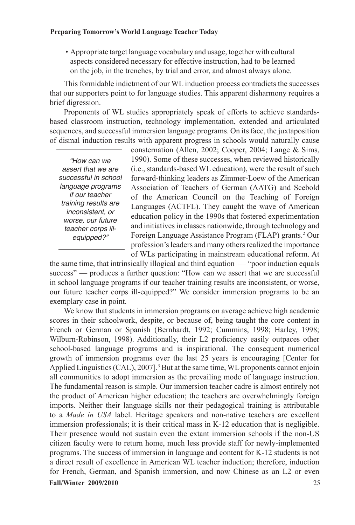• Appropriate target language vocabulary and usage, together with cultural aspects considered necessary for effective instruction, had to be learned on the job, in the trenches, by trial and error, and almost always alone.

This formidable indictment of our WL induction process contradicts the successes that our supporters point to for language studies. This apparent disharmony requires a brief digression.

Proponents of WL studies appropriately speak of efforts to achieve standardsbased classroom instruction, technology implementation, extended and articulated sequences, and successful immersion language programs. On its face, the juxtaposition of dismal induction results with apparent progress in schools would naturally cause

*"How can we assert that we are successful in school language programs if our teacher training results are inconsistent, or worse, our future teacher corps illequipped?"*

consternation (Allen, 2002; Cooper, 2004; Lange & Sims, 1990). Some of these successes, when reviewed historically (i.e., standards-based WL education), were the result of such forward-thinking leaders as Zimmer-Loew of the American Association of Teachers of German (AATG) and Scebold of the American Council on the Teaching of Foreign Languages (ACTFL). They caught the wave of American education policy in the 1990s that fostered experimentation and initiatives in classes nationwide, through technology and Foreign Language Assistance Program (FLAP) grants.<sup>2</sup> Our profession's leaders and many others realized the importance of WLs participating in mainstream educational reform. At

the same time, that intrinsically illogical and third equation — "poor induction equals success" — produces a further question: "How can we assert that we are successful in school language programs if our teacher training results are inconsistent, or worse, our future teacher corps ill-equipped?" We consider immersion programs to be an exemplary case in point.

**Fall/Winter 2009/2010** 25 We know that students in immersion programs on average achieve high academic scores in their schoolwork, despite, or because of, being taught the core content in French or German or Spanish (Bernhardt, 1992; Cummins, 1998; Harley, 1998; Wilburn-Robinson, 1998). Additionally, their L2 proficiency easily outpaces other school-based language programs and is inspirational. The consequent numerical growth of immersion programs over the last 25 years is encouraging [Center for Applied Linguistics (CAL), 2007].<sup>3</sup> But at the same time, WL proponents cannot enjoin all communities to adopt immersion as the prevailing mode of language instruction. The fundamental reason is simple. Our immersion teacher cadre is almost entirely not the product of American higher education; the teachers are overwhelmingly foreign imports. Neither their language skills nor their pedagogical training is attributable to a *Made in USA* label. Heritage speakers and non-native teachers are excellent immersion professionals; it is their critical mass in K-12 education that is negligible. Their presence would not sustain even the extant immersion schools if the non-US citizen faculty were to return home, much less provide staff for newly-implemented programs. The success of immersion in language and content for K-12 students is not a direct result of excellence in American WL teacher induction; therefore, induction for French, German, and Spanish immersion, and now Chinese as an L2 or even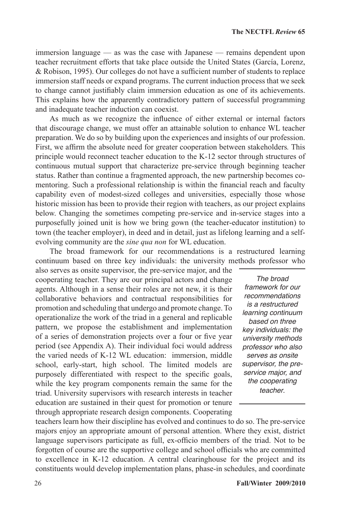immersion language — as was the case with Japanese — remains dependent upon teacher recruitment efforts that take place outside the United States (García, Lorenz, & Robison, 1995). Our colleges do not have a sufficient number of students to replace immersion staff needs or expand programs. The current induction process that we seek to change cannot justifiably claim immersion education as one of its achievements. This explains how the apparently contradictory pattern of successful programming and inadequate teacher induction can coexist.

As much as we recognize the influence of either external or internal factors that discourage change, we must offer an attainable solution to enhance WL teacher preparation. We do so by building upon the experiences and insights of our profession. First, we affirm the absolute need for greater cooperation between stakeholders*.* This principle would reconnect teacher education to the K-12 sector through structures of continuous mutual support that characterize pre-service through beginning teacher status. Rather than continue a fragmented approach, the new partnership becomes comentoring. Such a professional relationship is within the financial reach and faculty capability even of modest-sized colleges and universities, especially those whose historic mission has been to provide their region with teachers, as our project explains below. Changing the sometimes competing pre-service and in-service stages into a purposefully joined unit is how we bring gown (the teacher-educator institution) to town (the teacher employer), in deed and in detail, just as lifelong learning and a selfevolving community are the *sine qua non* for WL education.

The broad framework for our recommendations is a restructured learning continuum based on three key individuals: the university methods professor who

also serves as onsite supervisor, the pre-service major, and the cooperating teacher. They are our principal actors and change agents. Although in a sense their roles are not new, it is their collaborative behaviors and contractual responsibilities for promotion and scheduling that undergo and promote change. To operationalize the work of the triad in a general and replicable pattern, we propose the establishment and implementation of a series of demonstration projects over a four or five year period (see Appendix A). Their individual foci would address the varied needs of K-12 WL education: immersion, middle school, early-start, high school. The limited models are purposely differentiated with respect to the specific goals, while the key program components remain the same for the triad. University supervisors with research interests in teacher education are sustained in their quest for promotion or tenure through appropriate research design components. Cooperating

*The broad framework for our recommendations is a restructured learning continuum based on three key individuals: the university methods professor who also serves as onsite supervisor, the preservice major, and the cooperating teacher*.

teachers learn how their discipline has evolved and continues to do so. The pre-service majors enjoy an appropriate amount of personal attention. Where they exist, district language supervisors participate as full, ex-officio members of the triad. Not to be forgotten of course are the supportive college and school officials who are committed to excellence in K-12 education. A central clearinghouse for the project and its constituents would develop implementation plans, phase-in schedules, and coordinate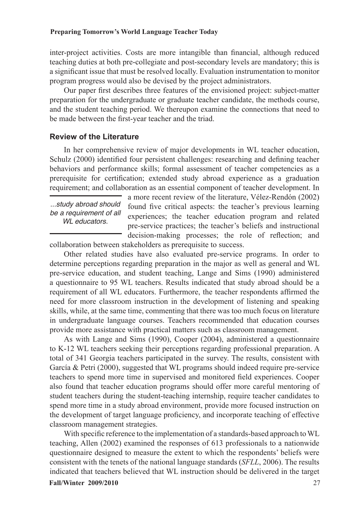inter-project activities. Costs are more intangible than financial, although reduced teaching duties at both pre-collegiate and post-secondary levels are mandatory; this is a significant issue that must be resolved locally. Evaluation instrumentation to monitor program progress would also be devised by the project administrators.

Our paper first describes three features of the envisioned project: subject-matter preparation for the undergraduate or graduate teacher candidate, the methods course, and the student teaching period. We thereupon examine the connections that need to be made between the first-year teacher and the triad.

#### **Review of the Literature**

In her comprehensive review of major developments in WL teacher education, Schulz (2000) identified four persistent challenges: researching and defining teacher behaviors and performance skills; formal assessment of teacher competencies as a prerequisite for certification; extended study abroad experience as a graduation requirement; and collaboration as an essential component of teacher development. In

*...study abroad should be a requirement of all WL educators.*

a more recent review of the literature, Vélez-Rendón (2002) found five critical aspects: the teacher's previous learning experiences; the teacher education program and related pre-service practices; the teacher's beliefs and instructional decision-making processes; the role of reflection; and

collaboration between stakeholders as prerequisite to success.

Other related studies have also evaluated pre-service programs. In order to determine perceptions regarding preparation in the major as well as general and WL pre-service education, and student teaching, Lange and Sims (1990) administered a questionnaire to 95 WL teachers. Results indicated that study abroad should be a requirement of all WL educators. Furthermore, the teacher respondents affirmed the need for more classroom instruction in the development of listening and speaking skills, while, at the same time, commenting that there was too much focus on literature in undergraduate language courses. Teachers recommended that education courses provide more assistance with practical matters such as classroom management.

As with Lange and Sims (1990), Cooper (2004), administered a questionnaire to K-12 WL teachers seeking their perceptions regarding professional preparation. A total of 341 Georgia teachers participated in the survey. The results, consistent with García & Petri (2000), suggested that WL programs should indeed require pre-service teachers to spend more time in supervised and monitored field experiences. Cooper also found that teacher education programs should offer more careful mentoring of student teachers during the student-teaching internship, require teacher candidates to spend more time in a study abroad environment, provide more focused instruction on the development of target language proficiency, and incorporate teaching of effective classroom management strategies.

**Fall/Winter 2009/2010** 27 With specific reference to the implementation of a standards-based approach to WL teaching, Allen (2002) examined the responses of 613 professionals to a nationwide questionnaire designed to measure the extent to which the respondents' beliefs were consistent with the tenets of the national language standards (*SFLL*, 2006). The results indicated that teachers believed that WL instruction should be delivered in the target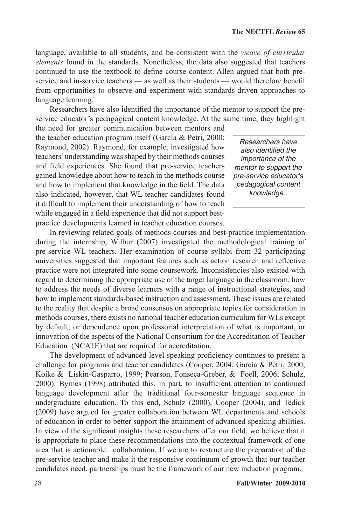language, available to all students, and be consistent with the *weave of curricular elements* found in the standards. Nonetheless, the data also suggested that teachers continued to use the textbook to define course content. Allen argued that both preservice and in-service teachers — as well as their students — would therefore benefit from opportunities to observe and experiment with standards-driven approaches to language learning.

Researchers have also identified the importance of the mentor to support the preservice educator's pedagogical content knowledge. At the same time, they highlight the need for greater communication between mentors and

the teacher education program itself (García & Petri, 2000; Raymond, 2002). Raymond, for example, investigated how teachers' understanding was shaped by their methods courses and field experiences. She found that pre-service teachers gained knowledge about how to teach in the methods course and how to implement that knowledge in the field. The data also indicated, however, that WL teacher candidates found it difficult to implement their understanding of how to teach while engaged in a field experience that did not support bestpractice developments learned in teacher education courses.

*Researchers have*  also identified the *importance of the mentor to support the pre-service educator's pedagogical content knowledge..*

In reviewing related goals of methods courses and best-practice implementation during the internship, Wilbur (2007) investigated the methodological training of pre-service WL teachers. Her examination of course syllabi from 32 participating universities suggested that important features such as action research and reflective practice were not integrated into some coursework. Inconsistencies also existed with regard to determining the appropriate use of the target language in the classroom, how to address the needs of diverse learners with a range of instructional strategies, and how to implement standards-based instruction and assessment. These issues are related to the reality that despite a broad consensus on appropriate topics for consideration in methods courses, there exists no national teacher education curriculum for WLs except by default, or dependence upon professorial interpretation of what is important, or innovation of the aspects of the National Consortium for the Accreditation of Teacher Education (NCATE) that are required for accreditation.

The development of advanced-level speaking proficiency continues to present a challenge for programs and teacher candidates (Cooper, 2004; García & Petri, 2000; Koike & Liskin-Gasparro, 1999; Pearson, Fonseca-Greber, & Foell, 2006; Schulz, 2000). Byrnes (1998) attributed this, in part, to insufficient attention to continued language development after the traditional four-semester language sequence in undergraduate education. To this end, Schulz (2000), Cooper (2004), and Tedick (2009) have argued for greater collaboration between WL departments and schools of education in order to better support the attainment of advanced speaking abilities. In view of the significant insights these researchers offer our field, we believe that it is appropriate to place these recommendations into the contextual framework of one area that is actionable: collaboration. If we are to restructure the preparation of the pre-service teacher and make it the responsive continuum of growth that our teacher candidates need, partnerships must be the framework of our new induction program.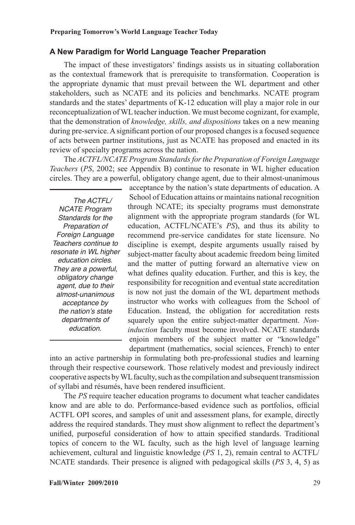#### **A New Paradigm for World Language Teacher Preparation**

The impact of these investigators' findings assists us in situating collaboration as the contextual framework that is prerequisite to transformation. Cooperation is the appropriate dynamic that must prevail between the WL department and other stakeholders, such as NCATE and its policies and benchmarks. NCATE program standards and the states' departments of K-12 education will play a major role in our reconceptualization of WL teacher induction. We must become cognizant, for example, that the demonstration of *knowledge, skills, and dispositions* takes on a new meaning during pre-service. A significant portion of our proposed changes is a focused sequence of acts between partner institutions, just as NCATE has proposed and enacted in its review of specialty programs across the nation.

The *ACTFL/NCATE Program Standards for the Preparation of Foreign Language Teachers* (*PS*, 2002; see Appendix B) continue to resonate in WL higher education circles. They are a powerful, obligatory change agent, due to their almost-unanimous

*The ACTFL/ NCATE Program Standards for the Preparation of Foreign Language Teachers continue to resonate in WL higher education circles. They are a powerful, obligatory change agent, due to their almost-unanimous acceptance by the nation's state departments of education.*

acceptance by the nation's state departments of education. A School of Education attains or maintains national recognition through NCATE; its specialty programs must demonstrate alignment with the appropriate program standards (for WL education, ACTFL/NCATE's *PS*), and thus its ability to recommend pre-service candidates for state licensure. No discipline is exempt, despite arguments usually raised by subject-matter faculty about academic freedom being limited and the matter of putting forward an alternative view on what defines quality education. Further, and this is key, the responsibility for recognition and eventual state accreditation is now not just the domain of the WL department methods instructor who works with colleagues from the School of Education. Instead, the obligation for accreditation rests squarely upon the entire subject-matter department. *Noninduction* faculty must become involved. NCATE standards enjoin members of the subject matter or "knowledge" department (mathematics, social sciences, French) to enter

into an active partnership in formulating both pre-professional studies and learning through their respective coursework. Those relatively modest and previously indirect cooperative aspects by WL faculty, such as the compilation and subsequent transmission of syllabi and résumés, have been rendered insufficient.

The *PS* require teacher education programs to document what teacher candidates know and are able to do. Performance-based evidence such as portfolios, official ACTFL OPI scores, and samples of unit and assessment plans, for example, directly address the required standards. They must show alignment to reflect the department's unified, purposeful consideration of how to attain specified standards. Traditional topics of concern to the WL faculty, such as the high level of language learning achievement, cultural and linguistic knowledge (*PS* 1, 2), remain central to ACTFL/ NCATE standards. Their presence is aligned with pedagogical skills (*PS* 3, 4, 5) as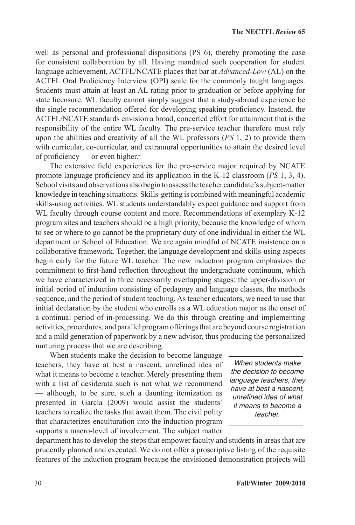well as personal and professional dispositions (PS 6), thereby promoting the case for consistent collaboration by all. Having mandated such cooperation for student language achievement, ACTFL/NCATE places that bar at *Advanced-Low* (AL) on the ACTFL Oral Proficiency Interview (OPI) scale for the commonly taught languages. Students must attain at least an AL rating prior to graduation or before applying for state licensure. WL faculty cannot simply suggest that a study-abroad experience be the single recommendation offered for developing speaking proficiency. Instead, the ACTFL/NCATE standards envision a broad, concerted effort for attainment that is the responsibility of the entire WL faculty. The pre-service teacher therefore must rely upon the abilities and creativity of all the WL professors (*PS* 1, 2) to provide them with curricular, co-curricular, and extramural opportunities to attain the desired level of proficiency — or even higher.<sup>4</sup>

The extensive field experiences for the pre-service major required by NCATE promote language proficiency and its application in the K-12 classroom (*PS* 1, 3, 4). School visits and observations also begin to assess the teacher candidate's subject-matter knowledge in teaching situations. Skills-getting is combined with meaningful academic skills-using activities. WL students understandably expect guidance and support from WL faculty through course content and more. Recommendations of exemplary K-12 program sites and teachers should be a high priority, because the knowledge of whom to see or where to go cannot be the proprietary duty of one individual in either the WL department or School of Education. We are again mindful of NCATE insistence on a collaborative framework. Together, the language development and skills-using aspects begin early for the future WL teacher. The new induction program emphasizes the commitment to first-hand reflection throughout the undergraduate continuum, which we have characterized in three necessarily overlapping stages: the upper-division or initial period of induction consisting of pedagogy and language classes, the methods sequence, and the period of student teaching. As teacher educators, we need to use that initial declaration by the student who enrolls as a WL education major as the onset of a continual period of in-processing. We do this through creating and implementing activities, procedures, and parallel program offerings that are beyond course registration and a mild generation of paperwork by a new advisor, thus producing the personalized nurturing process that we are describing.

When students make the decision to become language teachers, they have at best a nascent, unrefined idea of what it means to become a teacher. Merely presenting them with a list of desiderata such is not what we recommend — although, to be sure, such a daunting itemization as presented in García (2009) would assist the students' teachers to realize the tasks that await them. The civil polity that characterizes enculturation into the induction program supports a macro-level of involvement. The subject matter

*When students make the decision to become language teachers, they have at best a nascent,*  unrefined idea of what *it means to become a teacher.*

department has to develop the steps that empower faculty and students in areas that are prudently planned and executed. We do not offer a proscriptive listing of the requisite features of the induction program because the envisioned demonstration projects will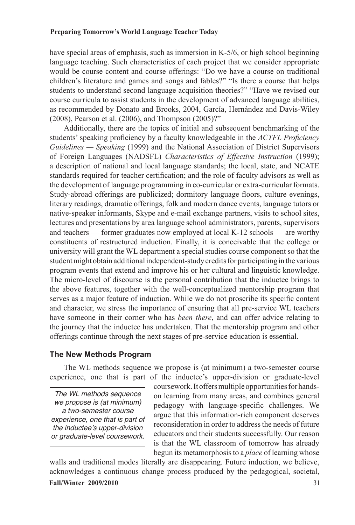have special areas of emphasis, such as immersion in K-5/6, or high school beginning language teaching. Such characteristics of each project that we consider appropriate would be course content and course offerings: "Do we have a course on traditional children's literature and games and songs and fables?" "Is there a course that helps students to understand second language acquisition theories?" "Have we revised our course curricula to assist students in the development of advanced language abilities, as recommended by Donato and Brooks, 2004, García, Hernández and Davis-Wiley (2008), Pearson et al. (2006), and Thompson (2005)?"

Additionally, there are the topics of initial and subsequent benchmarking of the students' speaking proficiency by a faculty knowledgeable in the *ACTFL Proficiency Guidelines — Speaking* (1999) and the National Association of District Supervisors of Foreign Languages (NADSFL) *Characteristics of Effective Instruction* (1999); a description of national and local language standards; the local, state, and NCATE standards required for teacher certification; and the role of faculty advisors as well as the development of language programming in co-curricular or extra-curricular formats. Study-abroad offerings are publicized; dormitory language floors, culture evenings, literary readings, dramatic offerings, folk and modern dance events, language tutors or native-speaker informants, Skype and e-mail exchange partners, visits to school sites, lectures and presentations by area language school administrators, parents, supervisors and teachers — former graduates now employed at local K-12 schools — are worthy constituents of restructured induction. Finally, it is conceivable that the college or university will grant the WL department a special studies course component so that the student might obtain additional independent-study credits for participating in the various program events that extend and improve his or her cultural and linguistic knowledge. The micro-level of discourse is the personal contribution that the inductee brings to the above features, together with the well-conceptualized mentorship program that serves as a major feature of induction. While we do not proscribe its specific content and character, we stress the importance of ensuring that all pre-service WL teachers have someone in their corner who has *been there*, and can offer advice relating to the journey that the inductee has undertaken. That the mentorship program and other offerings continue through the next stages of pre-service education is essential.

#### **The New Methods Program**

The WL methods sequence we propose is (at minimum) a two-semester course experience, one that is part of the inductee's upper-division or graduate-level

*The WL methods sequence we propose is (at minimum) a two-semester course experience, one that is part of the inductee's upper-division or graduate-level coursework.*

coursework. It offers multiple opportunities for handson learning from many areas, and combines general pedagogy with language-specific challenges. We argue that this information-rich component deserves reconsideration in order to address the needs of future educators and their students successfully. Our reason is that the WL classroom of tomorrow has already begun its metamorphosis to a *place* of learning whose

**Fall/Winter 2009/2010** 31 walls and traditional modes literally are disappearing. Future induction, we believe, acknowledges a continuous change process produced by the pedagogical, societal,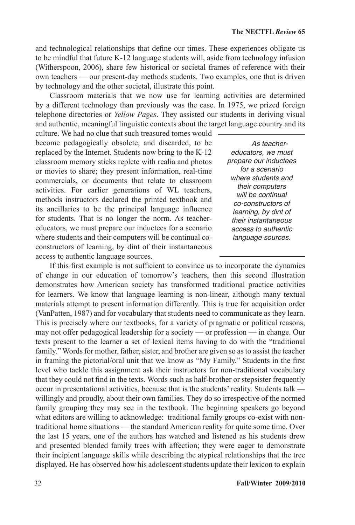and technological relationships that define our times. These experiences obligate us to be mindful that future K-12 language students will, aside from technology infusion (Witherspoon, 2006), share few historical or societal frames of reference with their own teachers — our present-day methods students. Two examples, one that is driven by technology and the other societal, illustrate this point.

Classroom materials that we now use for learning activities are determined by a different technology than previously was the case. In 1975, we prized foreign telephone directories or *Yellow Pages*. They assisted our students in deriving visual and authentic, meaningful linguistic contexts about the target language country and its

culture. We had no clue that such treasured tomes would become pedagogically obsolete, and discarded, to be replaced by the Internet. Students now bring to the K-12 classroom memory sticks replete with realia and photos or movies to share; they present information, real-time commercials, or documents that relate to classroom activities. For earlier generations of WL teachers, methods instructors declared the printed textbook and its ancillaries to be the principal language influence for students. That is no longer the norm. As teachereducators, we must prepare our inductees for a scenario where students and their computers will be continual coconstructors of learning, by dint of their instantaneous access to authentic language sources.

*As teachereducators, we must prepare our inductees for a scenario where students and their computers will be continual co-constructors of learning, by dint of their instantaneous access to authentic language sources.* 

If this first example is not sufficient to convince us to incorporate the dynamics of change in our education of tomorrow's teachers, then this second illustration demonstrates how American society has transformed traditional practice activities for learners. We know that language learning is non-linear, although many textual materials attempt to present information differently. This is true for acquisition order (VanPatten, 1987) and for vocabulary that students need to communicate as they learn. This is precisely where our textbooks, for a variety of pragmatic or political reasons, may not offer pedagogical leadership for a society — or profession — in change. Our texts present to the learner a set of lexical items having to do with the "traditional family." Words for mother, father, sister, and brother are given so as to assist the teacher in framing the pictorial/oral unit that we know as "My Family." Students in the first level who tackle this assignment ask their instructors for non-traditional vocabulary that they could not find in the texts. Words such as half-brother or stepsister frequently occur in presentational activities, because that is the students' reality. Students talk willingly and proudly, about their own families. They do so irrespective of the normed family grouping they may see in the textbook. The beginning speakers go beyond what editors are willing to acknowledge: traditional family groups co-exist with nontraditional home situations — the standard American reality for quite some time. Over the last 15 years, one of the authors has watched and listened as his students drew and presented blended family trees with affection; they were eager to demonstrate their incipient language skills while describing the atypical relationships that the tree displayed. He has observed how his adolescent students update their lexicon to explain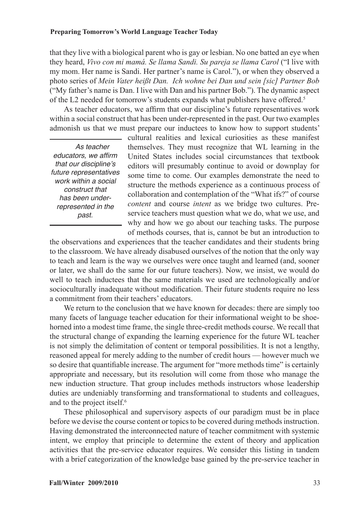that they live with a biological parent who is gay or lesbian. No one batted an eye when they heard, *Vivo con mi mamá. Se llama Sandi. Su pareja se llama Carol* ("I live with my mom. Her name is Sandi. Her partner's name is Carol."), or when they observed a photo series of *Mein Vater heißt Dan. Ich wohne bei Dan und sein [sic] Partner Bob*  ("My father's name is Dan. I live with Dan and his partner Bob."). The dynamic aspect of the L2 needed for tomorrow's students expands what publishers have offered.5

As teacher educators, we affirm that our discipline's future representatives work within a social construct that has been under-represented in the past. Our two examples admonish us that we must prepare our inductees to know how to support students'

*As teacher*  educators, we affirm *that our discipline's future representatives work within a social construct that has been underrepresented in the past.*

cultural realities and lexical curiosities as these manifest themselves. They must recognize that WL learning in the United States includes social circumstances that textbook editors will presumably continue to avoid or downplay for some time to come. Our examples demonstrate the need to structure the methods experience as a continuous process of collaboration and contemplation of the "What ifs?" of course *content* and course *intent* as we bridge two cultures. Preservice teachers must question what we do, what we use, and why and how we go about our teaching tasks. The purpose of methods courses, that is, cannot be but an introduction to

the observations and experiences that the teacher candidates and their students bring to the classroom. We have already disabused ourselves of the notion that the only way to teach and learn is the way we ourselves were once taught and learned (and, sooner or later, we shall do the same for our future teachers). Now, we insist, we would do well to teach inductees that the same materials we used are technologically and/or socioculturally inadequate without modification. Their future students require no less a commitment from their teachers' educators.

We return to the conclusion that we have known for decades: there are simply too many facets of language teacher education for their informational weight to be shoehorned into a modest time frame, the single three-credit methods course. We recall that the structural change of expanding the learning experience for the future WL teacher is not simply the delimitation of content or temporal possibilities. It is not a lengthy, reasoned appeal for merely adding to the number of credit hours — however much we so desire that quantifiable increase. The argument for "more methods time" is certainly appropriate and necessary, but its resolution will come from those who manage the new induction structure. That group includes methods instructors whose leadership duties are undeniably transforming and transformational to students and colleagues, and to the project itself.6

These philosophical and supervisory aspects of our paradigm must be in place before we devise the course content or topics to be covered during methods instruction. Having demonstrated the interconnected nature of teacher commitment with systemic intent, we employ that principle to determine the extent of theory and application activities that the pre-service educator requires. We consider this listing in tandem with a brief categorization of the knowledge base gained by the pre-service teacher in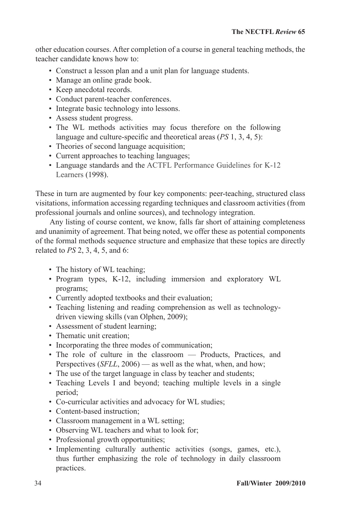other education courses. After completion of a course in general teaching methods, the teacher candidate knows how to:

- Construct a lesson plan and a unit plan for language students.
- Manage an online grade book.
- Keep anecdotal records.
- Conduct parent-teacher conferences.
- Integrate basic technology into lessons.
- Assess student progress.
- The WL methods activities may focus therefore on the following language and culture-specific and theoretical areas (*PS* 1, 3, 4, 5):
- Theories of second language acquisition;
- Current approaches to teaching languages;
- Language standards and the ACTFL Performance Guidelines for K-12 Learners (1998).

These in turn are augmented by four key components: peer-teaching, structured class visitations, information accessing regarding techniques and classroom activities (from professional journals and online sources), and technology integration.

Any listing of course content, we know, falls far short of attaining completeness and unanimity of agreement. That being noted, we offer these as potential components of the formal methods sequence structure and emphasize that these topics are directly related to *PS* 2, 3, 4, 5, and 6:

- The history of WL teaching;
- Program types, K-12, including immersion and exploratory WL programs;
- Currently adopted textbooks and their evaluation;
- Teaching listening and reading comprehension as well as technologydriven viewing skills (van Olphen, 2009);
- Assessment of student learning;
- Thematic unit creation:
- Incorporating the three modes of communication;
- The role of culture in the classroom Products, Practices, and Perspectives (*SFLL*, 2006) — as well as the what, when, and how;
- The use of the target language in class by teacher and students;
- Teaching Levels I and beyond; teaching multiple levels in a single period;
- Co-curricular activities and advocacy for WL studies;
- Content-based instruction;
- Classroom management in a WL setting;
- Observing WL teachers and what to look for;
- Professional growth opportunities;
- Implementing culturally authentic activities (songs, games, etc.), thus further emphasizing the role of technology in daily classroom practices.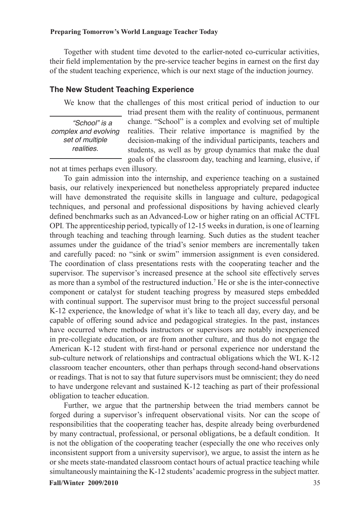Together with student time devoted to the earlier-noted co-curricular activities, their field implementation by the pre-service teacher begins in earnest on the first day of the student teaching experience, which is our next stage of the induction journey.

#### **The New Student Teaching Experience**

We know that the challenges of this most critical period of induction to our

*"School" is a complex and evolving set of multiple realities.*

triad present them with the reality of continuous, permanent change. "School" is a complex and evolving set of multiple realities. Their relative importance is magnified by the decision-making of the individual participants, teachers and students, as well as by group dynamics that make the dual goals of the classroom day, teaching and learning, elusive, if

not at times perhaps even illusory.

To gain admission into the internship, and experience teaching on a sustained basis, our relatively inexperienced but nonetheless appropriately prepared inductee will have demonstrated the requisite skills in language and culture, pedagogical techniques, and personal and professional dispositions by having achieved clearly defined benchmarks such as an Advanced-Low or higher rating on an official ACTFL OPI*.* The apprenticeship period, typically of 12-15 weeks in duration, is one of learning through teaching and teaching through learning. Such duties as the student teacher assumes under the guidance of the triad's senior members are incrementally taken and carefully paced: no "sink or swim" immersion assignment is even considered. The coordination of class presentations rests with the cooperating teacher and the supervisor. The supervisor's increased presence at the school site effectively serves as more than a symbol of the restructured induction.7 He or she is the inter-connective component or catalyst for student teaching progress by measured steps embedded with continual support. The supervisor must bring to the project successful personal K-12 experience, the knowledge of what it's like to teach all day, every day, and be capable of offering sound advice and pedagogical strategies. In the past, instances have occurred where methods instructors or supervisors are notably inexperienced in pre-collegiate education, or are from another culture, and thus do not engage the American K-12 student with first-hand or personal experience nor understand the sub-culture network of relationships and contractual obligations which the WL K-12 classroom teacher encounters, other than perhaps through second-hand observations or readings. That is not to say that future supervisors must be omniscient; they do need to have undergone relevant and sustained K-12 teaching as part of their professional obligation to teacher education.

Further, we argue that the partnership between the triad members cannot be forged during a supervisor's infrequent observational visits. Nor can the scope of responsibilities that the cooperating teacher has, despite already being overburdened by many contractual, professional, or personal obligations, be a default condition. It is not the obligation of the cooperating teacher (especially the one who receives only inconsistent support from a university supervisor), we argue, to assist the intern as he or she meets state-mandated classroom contact hours of actual practice teaching while simultaneously maintaining the K-12 students' academic progress in the subject matter.

#### **Fall/Winter 2009/2010** 35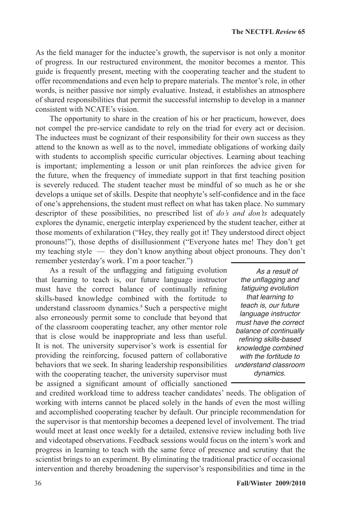As the field manager for the inductee's growth, the supervisor is not only a monitor of progress. In our restructured environment, the monitor becomes a mentor. This guide is frequently present, meeting with the cooperating teacher and the student to offer recommendations and even help to prepare materials. The mentor's role, in other words, is neither passive nor simply evaluative. Instead, it establishes an atmosphere of shared responsibilities that permit the successful internship to develop in a manner consistent with NCATE's vision.

The opportunity to share in the creation of his or her practicum, however, does not compel the pre-service candidate to rely on the triad for every act or decision. The inductees must be cognizant of their responsibility for their own success as they attend to the known as well as to the novel, immediate obligations of working daily with students to accomplish specific curricular objectives. Learning about teaching is important; implementing a lesson or unit plan reinforces the advice given for the future, when the frequency of immediate support in that first teaching position is severely reduced. The student teacher must be mindful of so much as he or she develops a unique set of skills. Despite that neophyte's self-confidence and in the face of one's apprehensions, the student must reflect on what has taken place. No summary descriptor of these possibilities, no prescribed list of *do's and don'ts* adequately explores the dynamic, energetic interplay experienced by the student teacher, either at those moments of exhilaration ("Hey, they really got it! They understood direct object pronouns!"), those depths of disillusionment ("Everyone hates me! They don't get my teaching style — they don't know anything about object pronouns. They don't remember yesterday's work. I'm a poor teacher.")

As a result of the unflagging and fatiguing evolution that learning to teach is, our future language instructor must have the correct balance of continually refining skills-based knowledge combined with the fortitude to understand classroom dynamics.8 Such a perspective might also erroneously permit some to conclude that beyond that of the classroom cooperating teacher, any other mentor role that is close would be inappropriate and less than useful. It is not. The university supervisor's work is essential for providing the reinforcing, focused pattern of collaborative behaviors that we seek. In sharing leadership responsibilities with the cooperating teacher, the university supervisor must be assigned a significant amount of officially sanctioned

and credited workload time to address teacher candidates' needs. The obligation of working with interns cannot be placed solely in the hands of even the most willing and accomplished cooperating teacher by default. Our principle recommendation for the supervisor is that mentorship becomes a deepened level of involvement. The triad would meet at least once weekly for a detailed, extensive review including both live and videotaped observations. Feedback sessions would focus on the intern's work and progress in learning to teach with the same force of presence and scrutiny that the scientist brings to an experiment. By eliminating the traditional practice of occasional intervention and thereby broadening the supervisor's responsibilities and time in the *dynamics.*

*As a result of*  the unflagging and *fatiguing evolution that learning to teach is, our future language instructor must have the correct balance of continually*  refining skills-based *knowledge combined with the fortitude to understand classroom*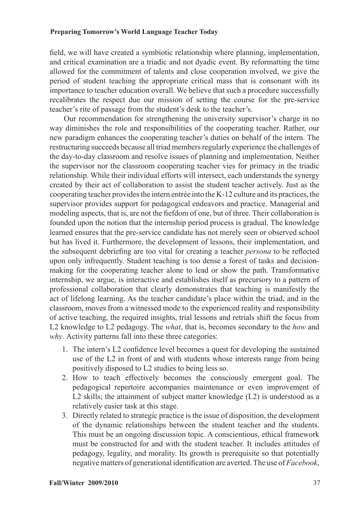field, we will have created a symbiotic relationship where planning, implementation, and critical examination are a triadic and not dyadic event. By reformatting the time allowed for the commitment of talents and close cooperation involved, we give the period of student teaching the appropriate critical mass that is consonant with its importance to teacher education overall. We believe that such a procedure successfully recalibrates the respect due our mission of setting the course for the pre-service teacher's rite of passage from the student's desk to the teacher's.

Our recommendation for strengthening the university supervisor's charge in no way diminishes the role and responsibilities of the cooperating teacher. Rather, our new paradigm enhances the cooperating teacher's duties on behalf of the intern. The restructuring succeeds because all triad members regularly experience the challenges of the day-to-day classroom and resolve issues of planning and implementation. Neither the supervisor nor the classroom cooperating teacher vies for primacy in the triadic relationship. While their individual efforts will intersect, each understands the synergy created by their act of collaboration to assist the student teacher actively. Just as the cooperating teacher provides the intern entrée into the K-12 culture and its practices, the supervisor provides support for pedagogical endeavors and practice. Managerial and modeling aspects, that is, are not the fiefdom of one, but of three. Their collaboration is founded upon the notion that the internship period process is gradual. The knowledge learned ensures that the pre-service candidate has not merely seen or observed school but has lived it. Furthermore, the development of lessons, their implementation, and the subsequent debriefing are too vital for creating a teacher *persona* to be reflected upon only infrequently. Student teaching is too dense a forest of tasks and decisionmaking for the cooperating teacher alone to lead or show the path. Transformative internship, we argue, is interactive and establishes itself as precursory to a pattern of professional collaboration that clearly demonstrates that teaching is manifestly the act of lifelong learning. As the teacher candidate's place within the triad, and in the classroom, moves from a witnessed mode to the experienced reality and responsibility of active teaching, the required insights, trial lessons and retrials shift the focus from L2 knowledge to L2 pedagogy. The *what*, that is, becomes secondary to the *how* and *why*. Activity patterns fall into these three categories:

- 1. The intern's L2 confidence level becomes a quest for developing the sustained use of the L2 in front of and with students whose interests range from being positively disposed to L2 studies to being less so.
- 2. How to teach effectively becomes the consciously emergent goal. The pedagogical repertoire accompanies maintenance or even improvement of L2 skills; the attainment of subject matter knowledge (L2) is understood as a relatively easier task at this stage.
- 3. Directly related to strategic practice is the issue of disposition, the development of the dynamic relationships between the student teacher and the students. This must be an ongoing discussion topic. A conscientious, ethical framework must be constructed for and with the student teacher. It includes attitudes of pedagogy, legality, and morality. Its growth is prerequisite so that potentially negative matters of generational identification are averted. The use of *Facebook*,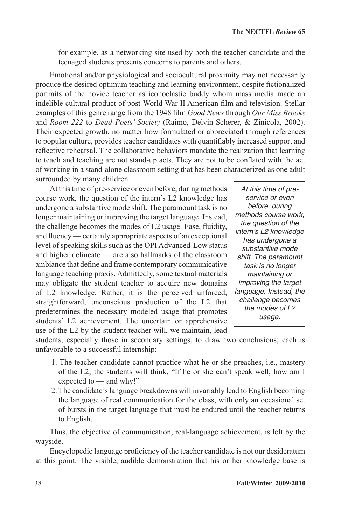for example, as a networking site used by both the teacher candidate and the teenaged students presents concerns to parents and others.

Emotional and/or physiological and sociocultural proximity may not necessarily produce the desired optimum teaching and learning environment, despite fictionalized portraits of the novice teacher as iconoclastic buddy whom mass media made an indelible cultural product of post-World War II American film and television. Stellar examples of this genre range from the 1948 film *Good News* through *Our Miss Brooks* and *Room 222* to *Dead Poets' Society* (Raimo, Delvin-Scherer, & Zinicola, 2002). Their expected growth, no matter how formulated or abbreviated through references to popular culture, provides teacher candidates with quantifiably increased support and reflective rehearsal. The collaborative behaviors mandate the realization that learning to teach and teaching are not stand-up acts. They are not to be conflated with the act of working in a stand-alone classroom setting that has been characterized as one adult surrounded by many children.

At this time of pre-service or even before, during methods course work, the question of the intern's L2 knowledge has undergone a substantive mode shift. The paramount task is no longer maintaining or improving the target language. Instead, the challenge becomes the modes of L2 usage. Ease, fluidity, and fluency — certainly appropriate aspects of an exceptional level of speaking skills such as the OPI Advanced-Low status and higher delineate — are also hallmarks of the classroom ambiance that define and frame contemporary communicative language teaching praxis. Admittedly, some textual materials may obligate the student teacher to acquire new domains of L2 knowledge. Rather, it is the perceived unforced, straightforward, unconscious production of the L2 that predetermines the necessary modeled usage that promotes students' L2 achievement. The uncertain or apprehensive use of the L2 by the student teacher will, we maintain, lead

*At this time of preservice or even before, during methods course work, the question of the intern's L2 knowledge has undergone a substantive mode shift. The paramount task is no longer maintaining or improving the target language. Instead, the challenge becomes the modes of L2 usage.*

students, especially those in secondary settings, to draw two conclusions; each is unfavorable to a successful internship:

- 1. The teacher candidate cannot practice what he or she preaches, i.e., mastery of the L2; the students will think, "If he or she can't speak well, how am I expected to — and why!"
- 2. The candidate's language breakdowns will invariably lead to English becoming the language of real communication for the class, with only an occasional set of bursts in the target language that must be endured until the teacher returns to English.

Thus, the objective of communication, real-language achievement, is left by the wayside.

Encyclopedic language proficiency of the teacher candidate is not our desideratum at this point. The visible, audible demonstration that his or her knowledge base is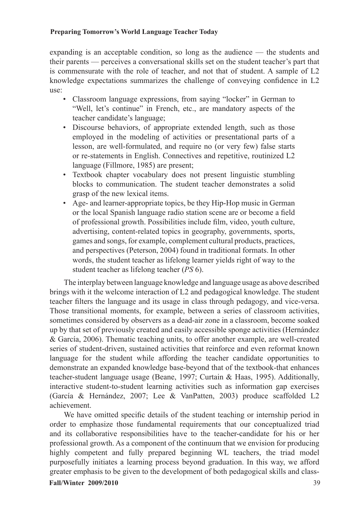expanding is an acceptable condition, so long as the audience — the students and their parents — perceives a conversational skills set on the student teacher's part that is commensurate with the role of teacher, and not that of student. A sample of L2 knowledge expectations summarizes the challenge of conveying confidence in L2 use:

- Classroom language expressions, from saying "locker" in German to "Well, let's continue" in French, etc., are mandatory aspects of the teacher candidate's language;
- Discourse behaviors, of appropriate extended length, such as those employed in the modeling of activities or presentational parts of a lesson, are well-formulated, and require no (or very few) false starts or re-statements in English. Connectives and repetitive, routinized L2 language (Fillmore, 1985) are present;
- Textbook chapter vocabulary does not present linguistic stumbling blocks to communication. The student teacher demonstrates a solid grasp of the new lexical items.
- Age- and learner-appropriate topics, be they Hip-Hop music in German or the local Spanish language radio station scene are or become a field of professional growth. Possibilities include film, video, youth culture, advertising, content-related topics in geography, governments, sports, games and songs, for example, complement cultural products, practices, and perspectives (Peterson, 2004) found in traditional formats. In other words, the student teacher as lifelong learner yields right of way to the student teacher as lifelong teacher (*PS* 6).

The interplay between language knowledge and language usage as above described brings with it the welcome interaction of L2 and pedagogical knowledge. The student teacher filters the language and its usage in class through pedagogy, and vice-versa. Those transitional moments, for example, between a series of classroom activities, sometimes considered by observers as a dead-air zone in a classroom, become soaked up by that set of previously created and easily accessible sponge activities (Hernández & García, 2006). Thematic teaching units, to offer another example, are well-created series of student-driven, sustained activities that reinforce and even reformat known language for the student while affording the teacher candidate opportunities to demonstrate an expanded knowledge base-beyond that of the textbook-that enhances teacher-student language usage (Beane, 1997; Curtain & Haas, 1995). Additionally, interactive student-to-student learning activities such as information gap exercises (García & Hernández, 2007; Lee & VanPatten, 2003) produce scaffolded L2 achievement.

**Fall/Winter 2009/2010** 39 We have omitted specific details of the student teaching or internship period in order to emphasize those fundamental requirements that our conceptualized triad and its collaborative responsibilities have to the teacher-candidate for his or her professional growth. As a component of the continuum that we envision for producing highly competent and fully prepared beginning WL teachers, the triad model purposefully initiates a learning process beyond graduation. In this way, we afford greater emphasis to be given to the development of both pedagogical skills and class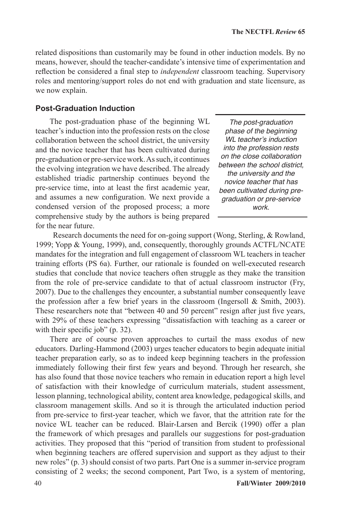related dispositions than customarily may be found in other induction models. By no means, however, should the teacher-candidate's intensive time of experimentation and reflection be considered a final step to *independent* classroom teaching. Supervisory roles and mentoring/support roles do not end with graduation and state licensure, as we now explain.

#### **Post-Graduation Induction**

The post-graduation phase of the beginning WL teacher's induction into the profession rests on the close collaboration between the school district, the university and the novice teacher that has been cultivated during pre-graduation or pre-service work. As such, it continues the evolving integration we have described. The already established triadic partnership continues beyond the pre-service time, into at least the first academic year, and assumes a new configuration. We next provide a condensed version of the proposed process; a more comprehensive study by the authors is being prepared for the near future.

*The post-graduation phase of the beginning WL teacher's induction into the profession rests on the close collaboration between the school district, the university and the novice teacher that has been cultivated during pregraduation or pre-service work.* 

 Research documents the need for on-going support (Wong, Sterling, & Rowland, 1999; Yopp & Young, 1999), and, consequently, thoroughly grounds ACTFL/NCATE mandates for the integration and full engagement of classroom WL teachers in teacher training efforts (PS 6a). Further, our rationale is founded on well-executed research studies that conclude that novice teachers often struggle as they make the transition from the role of pre-service candidate to that of actual classroom instructor (Fry, 2007). Due to the challenges they encounter, a substantial number consequently leave the profession after a few brief years in the classroom (Ingersoll & Smith, 2003). These researchers note that "between 40 and 50 percent" resign after just five years, with 29% of these teachers expressing "dissatisfaction with teaching as a career or with their specific job" (p. 32).

There are of course proven approaches to curtail the mass exodus of new educators. Darling-Hammond (2003) urges teacher educators to begin adequate initial teacher preparation early, so as to indeed keep beginning teachers in the profession immediately following their first few years and beyond. Through her research, she has also found that those novice teachers who remain in education report a high level of satisfaction with their knowledge of curriculum materials, student assessment, lesson planning, technological ability, content area knowledge, pedagogical skills, and classroom management skills. And so it is through the articulated induction period from pre-service to first-year teacher, which we favor, that the attrition rate for the novice WL teacher can be reduced. Blair-Larsen and Bercik (1990) offer a plan the framework of which presages and parallels our suggestions for post-graduation activities. They proposed that this "period of transition from student to professional when beginning teachers are offered supervision and support as they adjust to their new roles" (p. 3) should consist of two parts. Part One is a summer in-service program consisting of 2 weeks; the second component, Part Two, is a system of mentoring,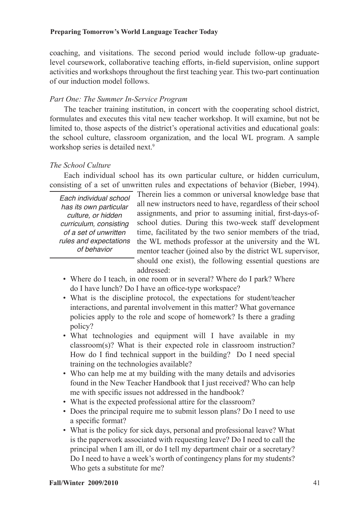coaching, and visitations. The second period would include follow-up graduatelevel coursework, collaborative teaching efforts, in-field supervision, online support activities and workshops throughout the first teaching year. This two-part continuation of our induction model follows.

# *Part One: The Summer In-Service Program*

The teacher training institution, in concert with the cooperating school district, formulates and executes this vital new teacher workshop. It will examine, but not be limited to, those aspects of the district's operational activities and educational goals: the school culture, classroom organization, and the local WL program. A sample workshop series is detailed next.<sup>9</sup>

# *The School Culture*

Each individual school has its own particular culture, or hidden curriculum, consisting of a set of unwritten rules and expectations of behavior (Bieber, 1994).

*Each individual school has its own particular culture, or hidden curriculum, consisting of a set of unwritten rules and expectations of behavior*

Therein lies a common or universal knowledge base that all new instructors need to have, regardless of their school assignments, and prior to assuming initial, first-days-ofschool duties. During this two-week staff development time, facilitated by the two senior members of the triad, the WL methods professor at the university and the WL mentor teacher (joined also by the district WL supervisor, should one exist), the following essential questions are addressed:

- Where do I teach, in one room or in several? Where do I park? Where do I have lunch? Do I have an office-type workspace?
- What is the discipline protocol, the expectations for student/teacher interactions, and parental involvement in this matter? What governance policies apply to the role and scope of homework? Is there a grading policy?
- What technologies and equipment will I have available in my classroom(s)? What is their expected role in classroom instruction? How do I find technical support in the building? Do I need special training on the technologies available?
- Who can help me at my building with the many details and advisories found in the New Teacher Handbook that I just received? Who can help me with specific issues not addressed in the handbook?
- What is the expected professional attire for the classroom?
- Does the principal require me to submit lesson plans? Do I need to use a specific format?
- What is the policy for sick days, personal and professional leave? What is the paperwork associated with requesting leave? Do I need to call the principal when I am ill, or do I tell my department chair or a secretary? Do I need to have a week's worth of contingency plans for my students? Who gets a substitute for me?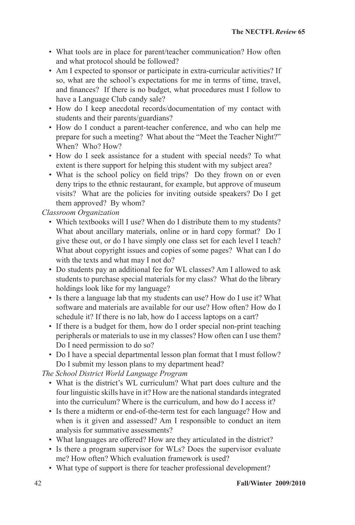- What tools are in place for parent/teacher communication? How often and what protocol should be followed?
- Am I expected to sponsor or participate in extra-curricular activities? If so, what are the school's expectations for me in terms of time, travel, and finances? If there is no budget, what procedures must I follow to have a Language Club candy sale?
- How do I keep anecdotal records/documentation of my contact with students and their parents/guardians?
- How do I conduct a parent-teacher conference, and who can help me prepare for such a meeting? What about the "Meet the Teacher Night?" When? Who? How?
- How do I seek assistance for a student with special needs? To what extent is there support for helping this student with my subject area?
- What is the school policy on field trips? Do they frown on or even deny trips to the ethnic restaurant, for example, but approve of museum visits? What are the policies for inviting outside speakers? Do I get them approved? By whom?

*Classroom Organization* 

- Which textbooks will I use? When do I distribute them to my students? What about ancillary materials, online or in hard copy format? Do I give these out, or do I have simply one class set for each level I teach? What about copyright issues and copies of some pages? What can I do with the texts and what may I not do?
- Do students pay an additional fee for WL classes? Am I allowed to ask students to purchase special materials for my class? What do the library holdings look like for my language?
- Is there a language lab that my students can use? How do I use it? What software and materials are available for our use? How often? How do I schedule it? If there is no lab, how do I access laptops on a cart?
- If there is a budget for them, how do I order special non-print teaching peripherals or materials to use in my classes? How often can I use them? Do I need permission to do so?
- Do I have a special departmental lesson plan format that I must follow? Do I submit my lesson plans to my department head?

*The School District World Language Program* 

- What is the district's WL curriculum? What part does culture and the four linguistic skills have in it? How are the national standards integrated into the curriculum? Where is the curriculum, and how do I access it?
- Is there a midterm or end-of-the-term test for each language? How and when is it given and assessed? Am I responsible to conduct an item analysis for summative assessments?
- What languages are offered? How are they articulated in the district?
- Is there a program supervisor for WLs? Does the supervisor evaluate me? How often? Which evaluation framework is used?
- What type of support is there for teacher professional development?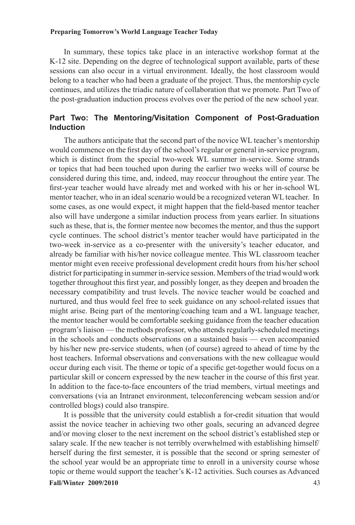In summary, these topics take place in an interactive workshop format at the K-12 site. Depending on the degree of technological support available, parts of these sessions can also occur in a virtual environment. Ideally, the host classroom would belong to a teacher who had been a graduate of the project. Thus, the mentorship cycle continues, and utilizes the triadic nature of collaboration that we promote. Part Two of the post-graduation induction process evolves over the period of the new school year.

# **Part Two: The Mentoring/Visitation Component of Post-Graduation Induction**

The authors anticipate that the second part of the novice WL teacher's mentorship would commence on the first day of the school's regular or general in-service program, which is distinct from the special two-week WL summer in-service. Some strands or topics that had been touched upon during the earlier two weeks will of course be considered during this time, and, indeed, may reoccur throughout the entire year. The first-year teacher would have already met and worked with his or her in-school WL mentor teacher, who in an ideal scenario would be a recognized veteran WL teacher. In some cases, as one would expect, it might happen that the field-based mentor teacher also will have undergone a similar induction process from years earlier. In situations such as these, that is, the former mentee now becomes the mentor, and thus the support cycle continues. The school district's mentor teacher would have participated in the two-week in-service as a co-presenter with the university's teacher educator, and already be familiar with his/her novice colleague mentee. This WL classroom teacher mentor might even receive professional development credit hours from his/her school district for participating in summer in-service session. Members of the triad would work together throughout this first year, and possibly longer, as they deepen and broaden the necessary compatibility and trust levels. The novice teacher would be coached and nurtured, and thus would feel free to seek guidance on any school-related issues that might arise. Being part of the mentoring/coaching team and a WL language teacher, the mentor teacher would be comfortable seeking guidance from the teacher education program's liaison — the methods professor, who attends regularly-scheduled meetings in the schools and conducts observations on a sustained basis — even accompanied by his/her new pre-service students, when (of course) agreed to ahead of time by the host teachers. Informal observations and conversations with the new colleague would occur during each visit. The theme or topic of a specific get-together would focus on a particular skill or concern expressed by the new teacher in the course of this first year. In addition to the face-to-face encounters of the triad members, virtual meetings and conversations (via an Intranet environment, teleconferencing webcam session and/or controlled blogs) could also transpire.

**Fall/Winter 2009/2010** 43 It is possible that the university could establish a for-credit situation that would assist the novice teacher in achieving two other goals, securing an advanced degree and/or moving closer to the next increment on the school district's established step or salary scale. If the new teacher is not terribly overwhelmed with establishing himself/ herself during the first semester, it is possible that the second or spring semester of the school year would be an appropriate time to enroll in a university course whose topic or theme would support the teacher's K-12 activities. Such courses as Advanced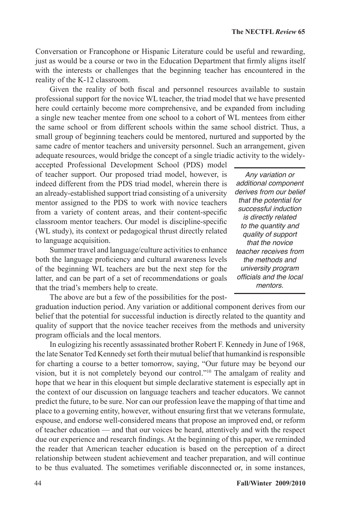Conversation or Francophone or Hispanic Literature could be useful and rewarding, just as would be a course or two in the Education Department that firmly aligns itself with the interests or challenges that the beginning teacher has encountered in the reality of the K-12 classroom.

Given the reality of both fiscal and personnel resources available to sustain professional support for the novice WL teacher, the triad model that we have presented here could certainly become more comprehensive, and be expanded from including a single new teacher mentee from one school to a cohort of WL mentees from either the same school or from different schools within the same school district. Thus, a small group of beginning teachers could be mentored, nurtured and supported by the same cadre of mentor teachers and university personnel. Such an arrangement, given adequate resources, would bridge the concept of a single triadic activity to the widely-

accepted Professional Development School (PDS) model of teacher support. Our proposed triad model, however, is indeed different from the PDS triad model, wherein there is an already-established support triad consisting of a university mentor assigned to the PDS to work with novice teachers from a variety of content areas, and their content-specific classroom mentor teachers. Our model is discipline-specific (WL study), its context or pedagogical thrust directly related to language acquisition.

Summer travel and language/culture activities to enhance both the language proficiency and cultural awareness levels of the beginning WL teachers are but the next step for the latter, and can be part of a set of recommendations or goals that the triad's members help to create.

program officials and the local mentors.

*Any variation or additional component derives from our belief that the potential for successful induction is directly related to the quantity and quality of support that the novice teacher receives from the methods and university program*  officials and the local *mentors.* 

The above are but a few of the possibilities for the postgraduation induction period. Any variation or additional component derives from our belief that the potential for successful induction is directly related to the quantity and quality of support that the novice teacher receives from the methods and university

In eulogizing his recently assassinated brother Robert F. Kennedy in June of 1968, the late Senator Ted Kennedy set forth their mutual belief that humankind is responsible for charting a course to a better tomorrow, saying, "Our future may be beyond our vision, but it is not completely beyond our control."10 The amalgam of reality and hope that we hear in this eloquent but simple declarative statement is especially apt in the context of our discussion on language teachers and teacher educators. We cannot predict the future, to be sure. Nor can our profession leave the mapping of that time and place to a governing entity, however, without ensuring first that we veterans formulate, espouse, and endorse well-considered means that propose an improved end, or reform of teacher education — and that our voices be heard, attentively and with the respect due our experience and research findings. At the beginning of this paper, we reminded the reader that American teacher education is based on the perception of a direct relationship between student achievement and teacher preparation, and will continue to be thus evaluated. The sometimes verifiable disconnected or, in some instances,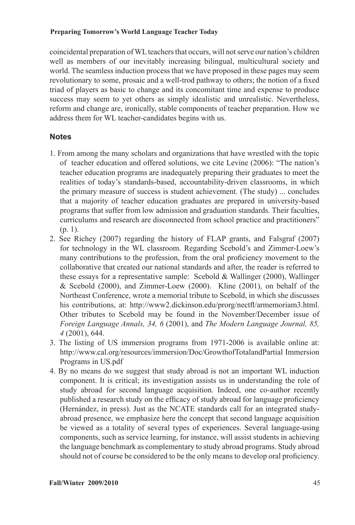coincidental preparation of WL teachers that occurs, will not serve our nation's children well as members of our inevitably increasing bilingual, multicultural society and world. The seamless induction process that we have proposed in these pages may seem revolutionary to some, prosaic and a well-trod pathway to others; the notion of a fixed triad of players as basic to change and its concomitant time and expense to produce success may seem to yet others as simply idealistic and unrealistic. Nevertheless, reform and change are, ironically, stable components of teacher preparation. How we address them for WL teacher-candidates begins with us.

# **Notes**

- 1. From among the many scholars and organizations that have wrestled with the topic of teacher education and offered solutions, we cite Levine (2006): "The nation's teacher education programs are inadequately preparing their graduates to meet the realities of today's standards-based, accountability-driven classrooms, in which the primary measure of success is student achievement. (The study) ... concludes that a majority of teacher education graduates are prepared in university-based programs that suffer from low admission and graduation standards. Their faculties, curriculums and research are disconnected from school practice and practitioners" (p. 1).
- 2. See Richey (2007) regarding the history of FLAP grants, and Falsgraf (2007) for technology in the WL classroom. Regarding Scebold's and Zimmer-Loew's many contributions to the profession, from the oral proficiency movement to the collaborative that created our national standards and after, the reader is referred to these essays for a representative sample: Scebold  $&$  Wallinger (2000), Wallinger  $&$  Scebold (2000), and Zimmer-Loew (2000). Kline (2001), on behalf of the Northeast Conference, wrote a memorial tribute to Scebold, in which she discusses his contributions, at: http://www2.dickinson.edu/prorg/nectfl/armemoriam3.html. Other tributes to Scebold may be found in the November/December issue of *Foreign Language Annals, 34, 6* (2001), and *The Modern Language Journal, 85, 4* (2001), 644.
- 3. The listing of US immersion programs from 1971-2006 is available online at: http://www.cal.org/resources/immersion/Doc/GrowthofTotalandPartial Immersion Programs in US.pdf
- 4. By no means do we suggest that study abroad is not an important WL induction component. It is critical; its investigation assists us in understanding the role of study abroad for second language acquisition. Indeed, one co-author recently published a research study on the efficacy of study abroad for language proficiency (Hernández, in press). Just as the NCATE standards call for an integrated studyabroad presence, we emphasize here the concept that second language acquisition be viewed as a totality of several types of experiences. Several language-using components, such as service learning, for instance, will assist students in achieving the language benchmark as complementary to study abroad programs. Study abroad should not of course be considered to be the only means to develop oral proficiency.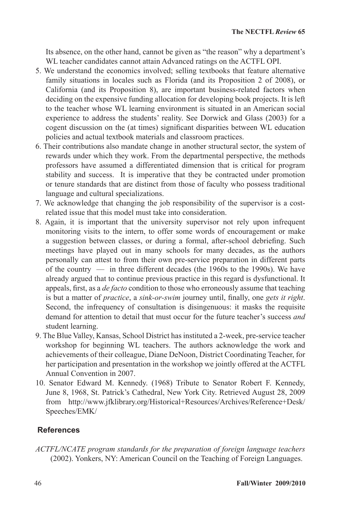Its absence, on the other hand, cannot be given as "the reason" why a department's WL teacher candidates cannot attain Advanced ratings on the ACTFL OPI.

- 5. We understand the economics involved; selling textbooks that feature alternative family situations in locales such as Florida (and its Proposition 2 of 2008), or California (and its Proposition 8), are important business-related factors when deciding on the expensive funding allocation for developing book projects. It is left to the teacher whose WL learning environment is situated in an American social experience to address the students' reality. See Dorwick and Glass (2003) for a cogent discussion on the (at times) significant disparities between WL education policies and actual textbook materials and classroom practices.
- 6. Their contributions also mandate change in another structural sector, the system of rewards under which they work. From the departmental perspective, the methods professors have assumed a differentiated dimension that is critical for program stability and success. It is imperative that they be contracted under promotion or tenure standards that are distinct from those of faculty who possess traditional language and cultural specializations.
- 7. We acknowledge that changing the job responsibility of the supervisor is a costrelated issue that this model must take into consideration.
- 8. Again, it is important that the university supervisor not rely upon infrequent monitoring visits to the intern, to offer some words of encouragement or make a suggestion between classes, or during a formal, after-school debriefing. Such meetings have played out in many schools for many decades, as the authors personally can attest to from their own pre-service preparation in different parts of the country — in three different decades (the 1960s to the 1990s). We have already argued that to continue previous practice in this regard is dysfunctional. It appeals, first, as a *de facto* condition to those who erroneously assume that teaching is but a matter of *practice*, a *sink-or-swim* journey until, finally, one *gets it right*. Second, the infrequency of consultation is disingenuous: it masks the requisite demand for attention to detail that must occur for the future teacher's success *and*  student learning.
- 9. The Blue Valley, Kansas, School District has instituted a 2-week, pre-service teacher workshop for beginning WL teachers. The authors acknowledge the work and achievements of their colleague, Diane DeNoon, District Coordinating Teacher, for her participation and presentation in the workshop we jointly offered at the ACTFL Annual Convention in 2007.
- 10. Senator Edward M. Kennedy. (1968) Tribute to Senator Robert F. Kennedy, June 8, 1968, St. Patrick's Cathedral, New York City. Retrieved August 28, 2009 from http://www.jfklibrary.org/Historical+Resources/Archives/Reference+Desk/ Speeches/EMK/

# **References**

*ACTFL/NCATE program standards for the preparation of foreign language teachers*  (2002). Yonkers, NY: American Council on the Teaching of Foreign Languages.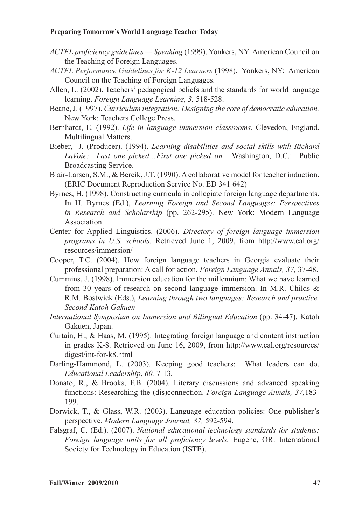- *ACTFL proficiency guidelines Speaking* (1999). Yonkers, NY: American Council on the Teaching of Foreign Languages.
- *ACTFL Performance Guidelines for K-12 Learners* (1998). Yonkers, NY: American Council on the Teaching of Foreign Languages.
- Allen, L. (2002). Teachers' pedagogical beliefs and the standards for world language learning. *Foreign Language Learning, 3,* 518-528.
- Beane, J. (1997). *Curriculum integration: Designing the core of democratic education.* New York: Teachers College Press.
- Bernhardt, E. (1992). *Life in language immersion classrooms.* Clevedon, England. Multilingual Matters.
- Bieber, J. (Producer). (1994). *Learning disabilities and social skills with Richard LaVoie: Last one picked…First one picked on.* Washington, D.C.: Public Broadcasting Service.
- Blair-Larsen, S.M., & Bercik, J.T. (1990). A collaborative model for teacher induction. (ERIC Document Reproduction Service No. ED 341 642)
- Byrnes, H. (1998). Constructing curricula in collegiate foreign language departments. In H. Byrnes (Ed.), *Learning Foreign and Second Languages: Perspectives in Research and Scholarship* (pp. 262-295). New York: Modern Language Association.
- Center for Applied Linguistics. (2006). *Directory of foreign language immersion programs in U.S. schools*. Retrieved June 1, 2009, from http://www.cal.org/ resources/immersion/
- Cooper, T.C. (2004). How foreign language teachers in Georgia evaluate their professional preparation: A call for action. *Foreign Language Annals, 37,* 37-48.
- Cummins, J. (1998). Immersion education for the millennium: What we have learned from 30 years of research on second language immersion. In M.R. Childs & R.M. Bostwick (Eds.), *Learning through two languages: Research and practice. Second Katoh Gakuen*
- *International Symposium on Immersion and Bilingual Education* (pp. 34-47). Katoh Gakuen, Japan.
- Curtain, H., & Haas, M. (1995). Integrating foreign language and content instruction in grades K-8. Retrieved on June 16, 2009, from http://www.cal.org/resources/ digest/int-for-k8.html
- Darling-Hammond, L. (2003). Keeping good teachers: What leaders can do. *Educational Leadership*, *60,* 7-13*.*
- Donato, R., & Brooks, F.B. (2004). Literary discussions and advanced speaking functions: Researching the (dis)connection. *Foreign Language Annals, 37,*183- 199.
- Dorwick, T., & Glass, W.R. (2003). Language education policies: One publisher's perspective. *Modern Language Journal, 87,* 592-594.
- Falsgraf, C. (Ed.). (2007). *National educational technology standards for students: Foreign language units for all proficiency levels.* Eugene, OR: International Society for Technology in Education (ISTE).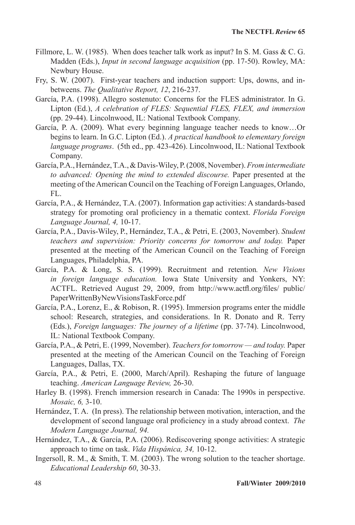- Fillmore, L. W. (1985). When does teacher talk work as input? In S. M. Gass  $\& C. G.$ Madden (Eds.), *Input in second language acquisition* (pp. 17-50). Rowley, MA: Newbury House.
- Fry, S. W. (2007). First-year teachers and induction support: Ups, downs, and inbetweens. *The Qualitative Report, 12*, 216-237.
- García, P.A. (1998). Allegro sostenuto: Concerns for the FLES administrator. In G. Lipton (Ed.), *A celebration of FLES: Sequential FLES, FLEX, and immersion* (pp. 29-44). Lincolnwood, IL: National Textbook Company.
- García, P. A. (2009). What every beginning language teacher needs to know…Or begins to learn. In G.C. Lipton (Ed.). *A practical handbook to elementary foreign language programs*. (5th ed., pp. 423-426). Lincolnwood, IL: National Textbook Company.
- García, P.A., Hernández, T.A., & Davis-Wiley, P. (2008, November). *From intermediate to advanced: Opening the mind to extended discourse.* Paper presented at the meeting of the American Council on the Teaching of Foreign Languages, Orlando, FL.
- García, P.A., & Hernández, T.A. (2007). Information gap activities: A standards-based strategy for promoting oral proficiency in a thematic context. *Florida Foreign Language Journal, 4,* 10-17.
- García, P.A., Davis-Wiley, P., Hernández, T.A., & Petri, E. (2003, November). *Student teachers and supervision: Priority concerns for tomorrow and today.* Paper presented at the meeting of the American Council on the Teaching of Foreign Languages, Philadelphia, PA.
- García, P.A. & Long, S. S. (1999). Recruitment and retention*. New Visions in foreign language education.* Iowa State University and Yonkers, NY: ACTFL. Retrieved August 29, 2009, from http://www.actfl.org/files/ public/ PaperWrittenByNewVisionsTaskForce.pdf
- García, P.A., Lorenz, E., & Robison, R. (1995). Immersion programs enter the middle school: Research, strategies, and considerations. In R. Donato and R. Terry (Eds.), *Foreign languages: The journey of a lifetime* (pp. 37-74). Lincolnwood, IL: National Textbook Company.
- García, P.A., & Petri, E. (1999, November). *Teachers for tomorrow and today.* Paper presented at the meeting of the American Council on the Teaching of Foreign Languages, Dallas, TX.
- García, P.A., & Petri, E. (2000, March/April). Reshaping the future of language teaching. *American Language Review,* 26-30.
- Harley B. (1998). French immersion research in Canada: The 1990s in perspective. *Mosaic, 6,* 3-10.
- Hernández, T. A. (In press). The relationship between motivation, interaction, and the development of second language oral proficiency in a study abroad context. *The Modern Language Journal, 94.*
- Hernández, T.A., & García, P.A. (2006). Rediscovering sponge activities: A strategic approach to time on task. *Vida Hispánica, 34,* 10-12.
- Ingersoll, R. M., & Smith, T. M. (2003). The wrong solution to the teacher shortage. *Educational Leadership 60*, 30-33.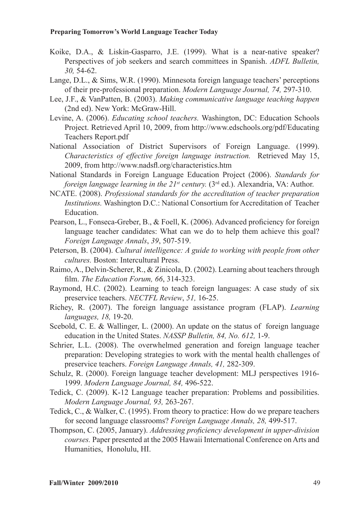- Koike, D.A., & Liskin-Gasparro, J.E. (1999). What is a near-native speaker? Perspectives of job seekers and search committees in Spanish. *ADFL Bulletin, 30,* 54-62.
- Lange, D.L., & Sims, W.R. (1990). Minnesota foreign language teachers' perceptions of their pre-professional preparation. *Modern Language Journal, 74,* 297-310.
- Lee, J.F., & VanPatten, B. (2003). *Making communicative language teaching happen* (2nd ed). New York: McGraw-Hill.
- Levine, A. (2006). *Educating school teachers.* Washington, DC: Education Schools Project. Retrieved April 10, 2009, from http://www.edschools.org/pdf/Educating Teachers Report.pdf
- National Association of District Supervisors of Foreign Language. (1999). *Characteristics of effective foreign language instruction.* Retrieved May 15, 2009, from http://www.nadsfl.org/characteristics.htm
- National Standards in Foreign Language Education Project (2006). *Standards for foreign language learning in the 21<sup>st</sup> century.* (3<sup>rd</sup> ed.). Alexandria, VA: Author.
- NCATE. (2008). *Professional standards for the accreditation of teacher preparation Institutions.* Washington D.C.: National Consortium for Accreditation of Teacher Education.
- Pearson, L., Fonseca-Greber, B., & Foell, K. (2006). Advanced proficiency for foreign language teacher candidates: What can we do to help them achieve this goal? *Foreign Language Annals*, *39*, 507-519.
- Peterson, B. (2004). *Cultural intelligence: A guide to working with people from other cultures.* Boston: Intercultural Press.
- Raimo, A., Delvin-Scherer, R., & Zinicola, D. (2002). Learning about teachers through film. *The Education Forum, 66*, 314-323.
- Raymond, H.C. (2002). Learning to teach foreign languages: A case study of six preservice teachers. *NECTFL Review*, *51,* 16-25.
- Richey, R. (2007). The foreign language assistance program (FLAP). *Learning languages, 18,* 19-20.
- Scebold, C. E. & Wallinger, L. (2000). An update on the status of foreign language education in the United States. *NASSP Bulletin, 84, No. 612,* 1-9.
- Schrier, L.L. (2008). The overwhelmed generation and foreign language teacher preparation: Developing strategies to work with the mental health challenges of preservice teachers. *Foreign Language Annals, 41,* 282-309.
- Schulz, R. (2000). Foreign language teacher development: MLJ perspectives 1916- 1999. *Modern Language Journal, 84,* 496-522.
- Tedick, C. (2009). K-12 Language teacher preparation: Problems and possibilities. *Modern Language Journal, 93,* 263-267.
- Tedick, C., & Walker, C. (1995). From theory to practice: How do we prepare teachers for second language classrooms? *Foreign Language Annals, 28,* 499-517.
- Thompson, C. (2005, January). *Addressing proficiency development in upper-division courses.* Paper presented at the 2005 Hawaii International Conference on Arts and Humanities, Honolulu, HI.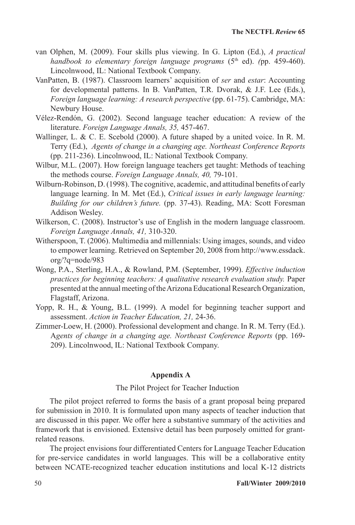- van Olphen, M. (2009). Four skills plus viewing. In G. Lipton (Ed.), *A practical handbook to elementary foreign language programs* (5<sup>th</sup> ed). (pp. 459-460). Lincolnwood, IL: National Textbook Company.
- VanPatten, B. (1987). Classroom learners' acquisition of *ser* and *estar*: Accounting for developmental patterns. In B. VanPatten, T.R. Dvorak, & J.F. Lee (Eds.), *Foreign language learning: A research perspective* (pp. 61-75). Cambridge, MA: Newbury House.
- Vélez-Rendón, G. (2002). Second language teacher education: A review of the literature. *Foreign Language Annals, 35,* 457-467.
- Wallinger, L. & C. E. Scebold (2000). A future shaped by a united voice. In R. M. Terry (Ed.), *Agents of change in a changing age. Northeast Conference Reports*  (pp. 211-236). Lincolnwood, IL: National Textbook Company.
- Wilbur, M.L. (2007). How foreign language teachers get taught: Methods of teaching the methods course. *Foreign Language Annals, 40,* 79-101.
- Wilburn-Robinson, D. (1998). The cognitive, academic, and attitudinal benefits of early language learning. In M. Met (Ed.), *Critical issues in early language learning: Building for our children's future.* (pp. 37-43). Reading, MA: Scott Foresman Addison Wesley.
- Wilkerson, C. (2008). Instructor's use of English in the modern language classroom. *Foreign Language Annals, 41,* 310-320.
- Witherspoon, T. (2006). Multimedia and millennials: Using images, sounds, and video to empower learning. Retrieved on September 20, 2008 from http://www.essdack. org/?q=node/983
- Wong, P.A., Sterling, H.A., & Rowland, P.M. (September, 1999). *Effective induction practices for beginning teachers: A qualitative research evaluation study.* Paper presented at the annual meeting of the Arizona Educational Research Organization, Flagstaff, Arizona.
- Yopp, R. H., & Young, B.L. (1999). A model for beginning teacher support and assessment. *Action in Teacher Education, 21,* 24-36.
- Zimmer-Loew, H. (2000). Professional development and change. In R. M. Terry (Ed.). A*gents of change in a changing age. Northeast Conference Reports* (pp. 169- 209). Lincolnwood, IL: National Textbook Company.

#### **Appendix A**

#### The Pilot Project for Teacher Induction

The pilot project referred to forms the basis of a grant proposal being prepared for submission in 2010. It is formulated upon many aspects of teacher induction that are discussed in this paper. We offer here a substantive summary of the activities and framework that is envisioned. Extensive detail has been purposely omitted for grantrelated reasons.

The project envisions four differentiated Centers for Language Teacher Education for pre-service candidates in world languages. This will be a collaborative entity between NCATE-recognized teacher education institutions and local K-12 districts